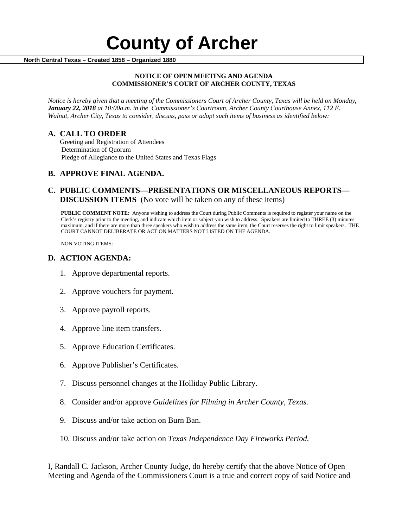#### **NOTICE OF OPEN MEETING AND AGENDA COMMISSIONER'S COURT OF ARCHER COUNTY, TEXAS**

*Notice is hereby given that a meeting of the Commissioners Court of Archer County, Texas will be held on Monday, January 22, 2018 at 10:00a.m. in the Commissioner's Courtroom, Archer County Courthouse Annex, 112 E. Walnut, Archer City, Texas to consider, discuss, pass or adopt such items of business as identified below:*

**A. CALL TO ORDER** Greeting and Registration of Attendees Determination of Quorum Pledge of Allegiance to the United States and Texas Flags

# **B. APPROVE FINAL AGENDA.**

# **C. PUBLIC COMMENTS—PRESENTATIONS OR MISCELLANEOUS REPORTS— DISCUSSION ITEMS** (No vote will be taken on any of these items)

**PUBLIC COMMENT NOTE:** Anyone wishing to address the Court during Public Comments is required to register your name on the Clerk's registry prior to the meeting, and indicate which item or subject you wish to address. Speakers are limited to THREE (3) minutes maximum, and if there are more than three speakers who wish to address the same item, the Court reserves the right to limit speakers. THE COURT CANNOT DELIBERATE OR ACT ON MATTERS NOT LISTED ON THE AGENDA.

NON VOTING ITEMS:

### **D. ACTION AGENDA:**

- 1. Approve departmental reports.
- 2. Approve vouchers for payment.
- 3. Approve payroll reports.
- 4. Approve line item transfers.
- 5. Approve Education Certificates.
- 6. Approve Publisher's Certificates.
- 7. Discuss personnel changes at the Holliday Public Library.
- 8. Consider and/or approve *Guidelines for Filming in Archer County, Texas.*
- 9. Discuss and/or take action on Burn Ban.
- 10. Discuss and/or take action on *Texas Independence Day Fireworks Period.*

I, Randall C. Jackson, Archer County Judge, do hereby certify that the above Notice of Open Meeting and Agenda of the Commissioners Court is a true and correct copy of said Notice and